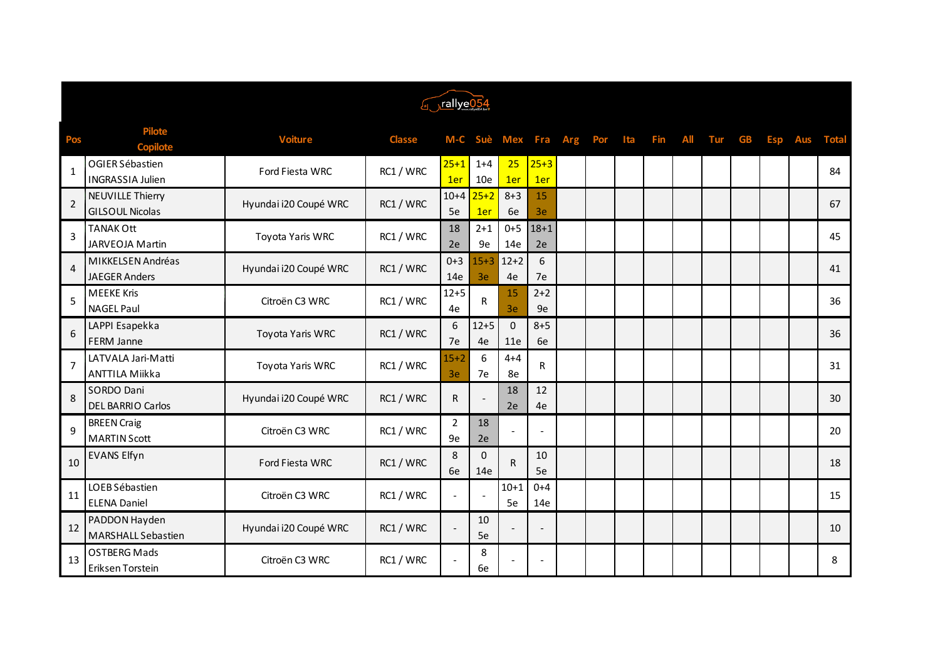| Forallye054    |                                                   |                       |               |                          |                    |                 |                          |            |     |     |     |            |     |           |            |            |              |
|----------------|---------------------------------------------------|-----------------------|---------------|--------------------------|--------------------|-----------------|--------------------------|------------|-----|-----|-----|------------|-----|-----------|------------|------------|--------------|
| Pos            | <b>Pilote</b><br><b>Copilote</b>                  | <b>Voiture</b>        | <b>Classe</b> | M-C                      | Suè                | Mex             | Fra                      | <b>Arg</b> | Por | Ita | Fin | <b>All</b> | Tur | <b>GB</b> | <b>Esp</b> | <b>Aus</b> | <b>Total</b> |
| $\mathbf{1}$   | OGIER Sébastien<br><b>INGRASSIA Julien</b>        | Ford Fiesta WRC       | RC1 / WRC     | $25 + 1$<br>1er          | $1 + 4$<br>10e     | 25<br>1er       | $25 + 3$<br>1er          |            |     |     |     |            |     |           |            |            | 84           |
| $\overline{2}$ | <b>NEUVILLE Thierry</b><br><b>GILSOUL Nicolas</b> | Hyundai i20 Coupé WRC | RC1 / WRC     | $10+4$<br>5e             | $25+2$<br>1er      | $8 + 3$<br>6e   | 15<br>3e                 |            |     |     |     |            |     |           |            |            | 67           |
| 3              | <b>TANAK Ott</b><br><b>JARVEOJA Martin</b>        | Toyota Yaris WRC      | RC1 / WRC     | 18<br>2e                 | $2 + 1$<br>9e      | $0 + 5$<br>14e  | $18 + 1$<br>2e           |            |     |     |     |            |     |           |            |            | 45           |
| $\overline{4}$ | MIKKELSEN Andréas<br><b>JAEGER Anders</b>         | Hyundai i20 Coupé WRC | RC1 / WRC     | $0 + 3$<br>14e           | $15 + 3$<br>3e     | $12+2$<br>4e    | 6<br>7e                  |            |     |     |     |            |     |           |            |            | 41           |
| 5              | <b>MEEKE Kris</b><br><b>NAGEL Paul</b>            | Citroën C3 WRC        | RC1 / WRC     | $12 + 5$<br>4e           | R                  | 15<br>3e        | $2 + 2$<br>9e            |            |     |     |     |            |     |           |            |            | 36           |
| 6              | LAPPI Esapekka<br><b>FERM Janne</b>               | Toyota Yaris WRC      | RC1 / WRC     | 6<br>7e                  | $12 + 5$<br>4e     | $\Omega$<br>11e | $8 + 5$<br>6e            |            |     |     |     |            |     |           |            |            | 36           |
| $\overline{7}$ | LATVALA Jari-Matti<br><b>ANTTILA Miikka</b>       | Toyota Yaris WRC      | RC1 / WRC     | $15 + 2$<br>3e           | 6<br>7e            | $4 + 4$<br>8e   | R                        |            |     |     |     |            |     |           |            |            | 31           |
| 8              | SORDO Dani<br><b>DEL BARRIO Carlos</b>            | Hyundai i20 Coupé WRC | RC1 / WRC     | R                        |                    | 18<br>2e        | 12<br>4e                 |            |     |     |     |            |     |           |            |            | 30           |
| 9              | <b>BREEN Craig</b><br><b>MARTIN Scott</b>         | Citroën C3 WRC        | RC1 / WRC     | $\overline{2}$<br>9e     | 18<br>2e           |                 |                          |            |     |     |     |            |     |           |            |            | 20           |
| 10             | <b>EVANS Elfyn</b>                                | Ford Fiesta WRC       | RC1 / WRC     | 8<br>6e                  | $\mathbf 0$<br>14e | R               | 10<br>5e                 |            |     |     |     |            |     |           |            |            | 18           |
| 11             | LOEB Sébastien<br><b>ELENA Daniel</b>             | Citroën C3 WRC        | RC1 / WRC     | $\overline{\phantom{a}}$ |                    | $10 + 1$<br>5e  | $0 + 4$<br>14e           |            |     |     |     |            |     |           |            |            | 15           |
| 12             | PADDON Hayden<br><b>MARSHALL Sebastien</b>        | Hyundai i20 Coupé WRC | RC1 / WRC     |                          | 10<br>5e           |                 | $\overline{\phantom{m}}$ |            |     |     |     |            |     |           |            |            | 10           |
| 13             | <b>OSTBERG Mads</b><br>Eriksen Torstein           | Citroën C3 WRC        | RC1 / WRC     |                          | 8<br>6e            |                 | $\overline{\phantom{a}}$ |            |     |     |     |            |     |           |            |            | 8            |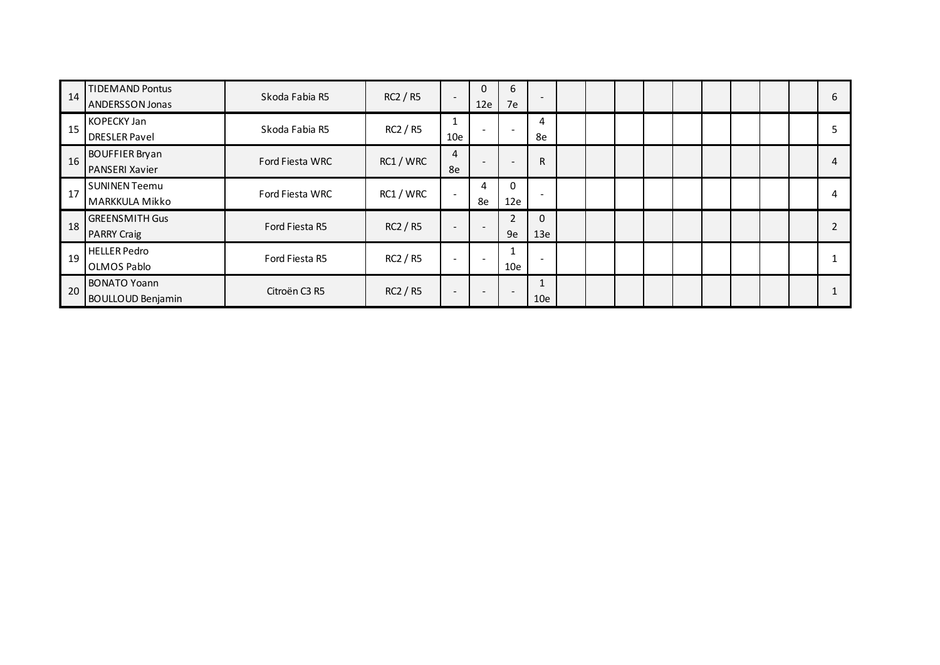| 14 | <b>TIDEMAND Pontus</b><br><b>ANDERSSON Jonas</b> | Skoda Fabia R5  | RC2 / R5  | $\overline{\phantom{a}}$ | 0<br>12e | b<br>7e                  | $\overline{\phantom{a}}$ |  |  |  |  | 6 |
|----|--------------------------------------------------|-----------------|-----------|--------------------------|----------|--------------------------|--------------------------|--|--|--|--|---|
| 15 | <b>KOPECKY Jan</b><br><b>DRESLER Pavel</b>       | Skoda Fabia R5  | RC2 / R5  | 10e                      |          |                          | 4<br>8e                  |  |  |  |  |   |
| 16 | <b>BOUFFIER Bryan</b><br>PANSERI Xavier          | Ford Fiesta WRC | RC1 / WRC | 4<br>8e                  |          |                          | $\mathsf{R}$             |  |  |  |  | 4 |
| 17 | <b>SUNINEN Teemu</b><br>MARKKULA Mikko           | Ford Fiesta WRC | RC1 / WRC | $\overline{\phantom{a}}$ | 4<br>8e  | 12e                      | $\overline{\phantom{a}}$ |  |  |  |  |   |
| 18 | <b>GREENSMITH Gus</b><br><b>PARRY Craig</b>      | Ford Fiesta R5  | RC2 / R5  | $\overline{\phantom{a}}$ |          | $\overline{2}$<br>9e     | 0<br>13e                 |  |  |  |  |   |
| 19 | <b>HELLER Pedro</b><br>OLMOS Pablo               | Ford Fiesta R5  | RC2 / R5  |                          |          | 10e                      | $\overline{\phantom{a}}$ |  |  |  |  |   |
| 20 | <b>BONATO Yoann</b><br><b>BOULLOUD Benjamin</b>  | Citroën C3 R5   | RC2 / R5  |                          |          | $\overline{\phantom{a}}$ | 10e                      |  |  |  |  |   |